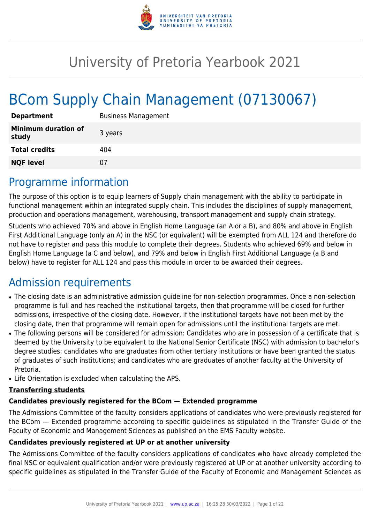

# University of Pretoria Yearbook 2021

# BCom Supply Chain Management (07130067)

| <b>Department</b>                   | <b>Business Management</b> |
|-------------------------------------|----------------------------|
| <b>Minimum duration of</b><br>study | 3 years                    |
| <b>Total credits</b>                | 404                        |
| <b>NQF level</b>                    | 07                         |

# Programme information

The purpose of this option is to equip learners of Supply chain management with the ability to participate in functional management within an integrated supply chain. This includes the disciplines of supply management, production and operations management, warehousing, transport management and supply chain strategy.

Students who achieved 70% and above in English Home Language (an A or a B), and 80% and above in English First Additional Language (only an A) in the NSC (or equivalent) will be exempted from ALL 124 and therefore do not have to register and pass this module to complete their degrees. Students who achieved 69% and below in English Home Language (a C and below), and 79% and below in English First Additional Language (a B and below) have to register for ALL 124 and pass this module in order to be awarded their degrees.

# Admission requirements

- The closing date is an administrative admission guideline for non-selection programmes. Once a non-selection programme is full and has reached the institutional targets, then that programme will be closed for further admissions, irrespective of the closing date. However, if the institutional targets have not been met by the closing date, then that programme will remain open for admissions until the institutional targets are met.
- The following persons will be considered for admission: Candidates who are in possession of a certificate that is deemed by the University to be equivalent to the National Senior Certificate (NSC) with admission to bachelor's degree studies; candidates who are graduates from other tertiary institutions or have been granted the status of graduates of such institutions; and candidates who are graduates of another faculty at the University of Pretoria.
- Life Orientation is excluded when calculating the APS.

#### **Transferring students**

#### **Candidates previously registered for the BCom — Extended programme**

The Admissions Committee of the faculty considers applications of candidates who were previously registered for the BCom — Extended programme according to specific guidelines as stipulated in the Transfer Guide of the Faculty of Economic and Management Sciences as published on the EMS Faculty website.

#### **Candidates previously registered at UP or at another university**

The Admissions Committee of the faculty considers applications of candidates who have already completed the final NSC or equivalent qualification and/or were previously registered at UP or at another university according to specific guidelines as stipulated in the Transfer Guide of the Faculty of Economic and Management Sciences as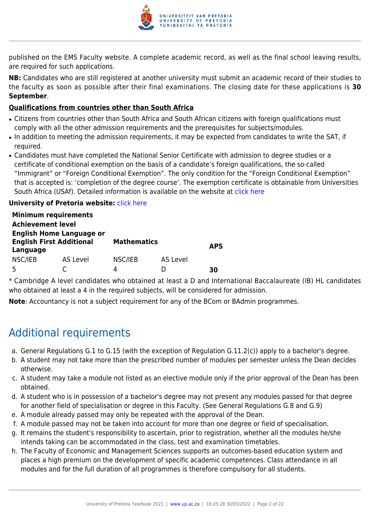

published on the EMS Faculty website. A complete academic record, as well as the final school leaving results, are required for such applications.

**NB:** Candidates who are still registered at another university must submit an academic record of their studies to the faculty as soon as possible after their final examinations. The closing date for these applications is **30 September**.

#### **Qualifications from countries other than South Africa**

- Citizens from countries other than South Africa and South African citizens with foreign qualifications must comply with all the other admission requirements and the prerequisites for subjects/modules.
- In addition to meeting the admission requirements, it may be expected from candidates to write the SAT, if required.
- Candidates must have completed the National Senior Certificate with admission to degree studies or a certificate of conditional exemption on the basis of a candidate's foreign qualifications, the so-called "Immigrant" or "Foreign Conditional Exemption". The only condition for the "Foreign Conditional Exemption" that is accepted is: 'completion of the degree course'. The exemption certificate is obtainable from Universities South Africa (USAf). Detailed information is available on the website at [click here](http://mb.usaf.ac.za)

#### **University of Pretoria website: [click here](http://www.up.ac.za/ems)**

|                                                                                | <b>Minimum requirements</b> |                    |          |            |
|--------------------------------------------------------------------------------|-----------------------------|--------------------|----------|------------|
| <b>Achievement level</b>                                                       |                             |                    |          |            |
| <b>English Home Language or</b><br><b>English First Additional</b><br>Language |                             | <b>Mathematics</b> |          | <b>APS</b> |
| NSC/IEB                                                                        | AS Level                    | NSC/IEB            | AS Level |            |
|                                                                                |                             | Δ                  |          |            |

\* Cambridge A level candidates who obtained at least a D and International Baccalaureate (IB) HL candidates who obtained at least a 4 in the required subjects, will be considered for admission.

**Note**: Accountancy is not a subject requirement for any of the BCom or BAdmin programmes.

# Additional requirements

- a. General Regulations G.1 to G.15 (with the exception of Regulation G.11.2(c)) apply to a bachelor's degree.
- b. A student may not take more than the prescribed number of modules per semester unless the Dean decides otherwise.
- c. A student may take a module not listed as an elective module only if the prior approval of the Dean has been obtained.
- d. A student who is in possession of a bachelor's degree may not present any modules passed for that degree for another field of specialisation or degree in this Faculty. (See General Regulations G.8 and G.9)
- e. A module already passed may only be repeated with the approval of the Dean.
- f. A module passed may not be taken into account for more than one degree or field of specialisation.
- g. It remains the student's responsibility to ascertain, prior to registration, whether all the modules he/she intends taking can be accommodated in the class, test and examination timetables.
- h. The Faculty of Economic and Management Sciences supports an outcomes-based education system and places a high premium on the development of specific academic competences. Class attendance in all modules and for the full duration of all programmes is therefore compulsory for all students.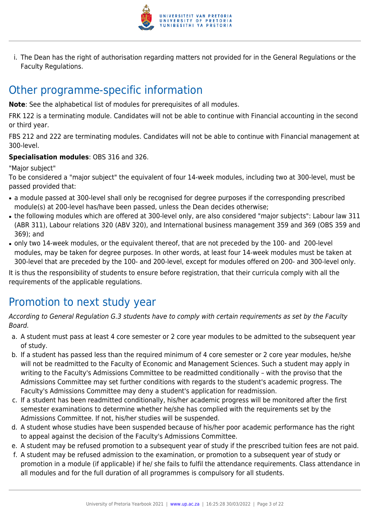

i. The Dean has the right of authorisation regarding matters not provided for in the General Regulations or the Faculty Regulations.

# Other programme-specific information

**Note**: See the alphabetical list of modules for prerequisites of all modules.

FRK 122 is a terminating module. Candidates will not be able to continue with Financial accounting in the second or third year.

FBS 212 and 222 are terminating modules. Candidates will not be able to continue with Financial management at 300-level.

### **Specialisation modules**: OBS 316 and 326.

"Major subject"

To be considered a "major subject" the equivalent of four 14-week modules, including two at 300-level, must be passed provided that:

- a module passed at 300-level shall only be recognised for degree purposes if the corresponding prescribed module(s) at 200-level has/have been passed, unless the Dean decides otherwise;
- the following modules which are offered at 300-level only, are also considered "major subjects": Labour law 311 (ABR 311), Labour relations 320 (ABV 320), and International business management 359 and 369 (OBS 359 and 369); and
- only two 14-week modules, or the equivalent thereof, that are not preceded by the 100- and 200-level modules, may be taken for degree purposes. In other words, at least four 14-week modules must be taken at 300-level that are preceded by the 100- and 200-level, except for modules offered on 200- and 300-level only.

It is thus the responsibility of students to ensure before registration, that their curricula comply with all the requirements of the applicable regulations.

# Promotion to next study year

According to General Regulation G.3 students have to comply with certain requirements as set by the Faculty Board.

- a. A student must pass at least 4 core semester or 2 core year modules to be admitted to the subsequent year of study.
- b. If a student has passed less than the required minimum of 4 core semester or 2 core year modules, he/she will not be readmitted to the Faculty of Economic and Management Sciences. Such a student may apply in writing to the Faculty's Admissions Committee to be readmitted conditionally – with the proviso that the Admissions Committee may set further conditions with regards to the student's academic progress. The Faculty's Admissions Committee may deny a student's application for readmission.
- c. If a student has been readmitted conditionally, his/her academic progress will be monitored after the first semester examinations to determine whether he/she has complied with the requirements set by the Admissions Committee. If not, his/her studies will be suspended.
- d. A student whose studies have been suspended because of his/her poor academic performance has the right to appeal against the decision of the Faculty's Admissions Committee.
- e. A student may be refused promotion to a subsequent year of study if the prescribed tuition fees are not paid.
- f. A student may be refused admission to the examination, or promotion to a subsequent year of study or promotion in a module (if applicable) if he/ she fails to fulfil the attendance requirements. Class attendance in all modules and for the full duration of all programmes is compulsory for all students.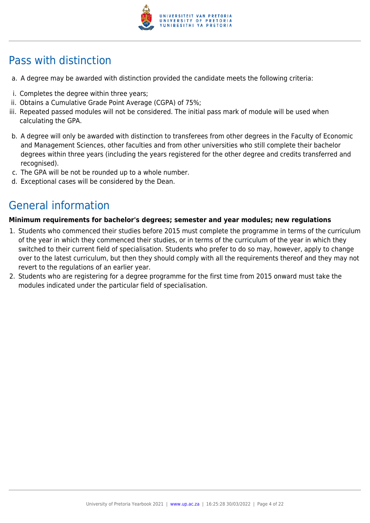

# Pass with distinction

- a. A degree may be awarded with distinction provided the candidate meets the following criteria:
- i. Completes the degree within three years;
- ii. Obtains a Cumulative Grade Point Average (CGPA) of 75%;
- iii. Repeated passed modules will not be considered. The initial pass mark of module will be used when calculating the GPA.
- b. A degree will only be awarded with distinction to transferees from other degrees in the Faculty of Economic and Management Sciences, other faculties and from other universities who still complete their bachelor degrees within three years (including the years registered for the other degree and credits transferred and recognised).
- c. The GPA will be not be rounded up to a whole number.
- d. Exceptional cases will be considered by the Dean.

# General information

#### **Minimum requirements for bachelor's degrees; semester and year modules; new regulations**

- 1. Students who commenced their studies before 2015 must complete the programme in terms of the curriculum of the year in which they commenced their studies, or in terms of the curriculum of the year in which they switched to their current field of specialisation. Students who prefer to do so may, however, apply to change over to the latest curriculum, but then they should comply with all the requirements thereof and they may not revert to the regulations of an earlier year.
- 2. Students who are registering for a degree programme for the first time from 2015 onward must take the modules indicated under the particular field of specialisation.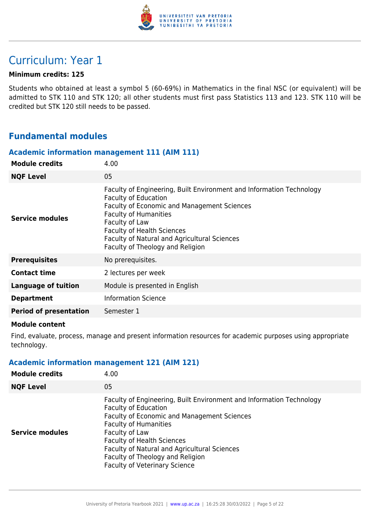

# Curriculum: Year 1

#### **Minimum credits: 125**

Students who obtained at least a symbol 5 (60-69%) in Mathematics in the final NSC (or equivalent) will be admitted to STK 110 and STK 120; all other students must first pass Statistics 113 and 123. STK 110 will be credited but STK 120 still needs to be passed.

### **Fundamental modules**

#### **Academic information management 111 (AIM 111)**

| 4.00                                                                                                                                                                                                                                                                                                                          |
|-------------------------------------------------------------------------------------------------------------------------------------------------------------------------------------------------------------------------------------------------------------------------------------------------------------------------------|
| 05                                                                                                                                                                                                                                                                                                                            |
| Faculty of Engineering, Built Environment and Information Technology<br><b>Faculty of Education</b><br>Faculty of Economic and Management Sciences<br><b>Faculty of Humanities</b><br>Faculty of Law<br><b>Faculty of Health Sciences</b><br>Faculty of Natural and Agricultural Sciences<br>Faculty of Theology and Religion |
| No prerequisites.                                                                                                                                                                                                                                                                                                             |
| 2 lectures per week                                                                                                                                                                                                                                                                                                           |
| Module is presented in English                                                                                                                                                                                                                                                                                                |
| <b>Information Science</b>                                                                                                                                                                                                                                                                                                    |
| Semester 1                                                                                                                                                                                                                                                                                                                    |
|                                                                                                                                                                                                                                                                                                                               |

#### **Module content**

Find, evaluate, process, manage and present information resources for academic purposes using appropriate technology.

### **Academic information management 121 (AIM 121)**

| <b>Module credits</b>  | 4.00                                                                                                                                                                                                                                                                                                                                                                  |
|------------------------|-----------------------------------------------------------------------------------------------------------------------------------------------------------------------------------------------------------------------------------------------------------------------------------------------------------------------------------------------------------------------|
| <b>NQF Level</b>       | 05                                                                                                                                                                                                                                                                                                                                                                    |
| <b>Service modules</b> | Faculty of Engineering, Built Environment and Information Technology<br><b>Faculty of Education</b><br>Faculty of Economic and Management Sciences<br><b>Faculty of Humanities</b><br>Faculty of Law<br><b>Faculty of Health Sciences</b><br>Faculty of Natural and Agricultural Sciences<br>Faculty of Theology and Religion<br><b>Faculty of Veterinary Science</b> |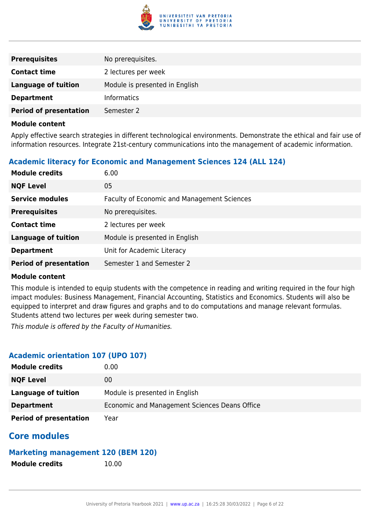

| <b>Prerequisites</b>          | No prerequisites.              |
|-------------------------------|--------------------------------|
| <b>Contact time</b>           | 2 lectures per week            |
| <b>Language of tuition</b>    | Module is presented in English |
| <b>Department</b>             | <b>Informatics</b>             |
| <b>Period of presentation</b> | Semester 2                     |

Apply effective search strategies in different technological environments. Demonstrate the ethical and fair use of information resources. Integrate 21st-century communications into the management of academic information.

### **Academic literacy for Economic and Management Sciences 124 (ALL 124)**

| <b>Module credits</b>         | 6.00                                               |
|-------------------------------|----------------------------------------------------|
| <b>NQF Level</b>              | 05                                                 |
| <b>Service modules</b>        | <b>Faculty of Economic and Management Sciences</b> |
| <b>Prerequisites</b>          | No prerequisites.                                  |
| <b>Contact time</b>           | 2 lectures per week                                |
| <b>Language of tuition</b>    | Module is presented in English                     |
| <b>Department</b>             | Unit for Academic Literacy                         |
| <b>Period of presentation</b> | Semester 1 and Semester 2                          |

#### **Module content**

This module is intended to equip students with the competence in reading and writing required in the four high impact modules: Business Management, Financial Accounting, Statistics and Economics. Students will also be equipped to interpret and draw figures and graphs and to do computations and manage relevant formulas. Students attend two lectures per week during semester two.

This module is offered by the Faculty of Humanities.

#### **Academic orientation 107 (UPO 107)**

| <b>Module credits</b>         | $0.00\,$                                      |
|-------------------------------|-----------------------------------------------|
| <b>NQF Level</b>              | 00                                            |
| Language of tuition           | Module is presented in English                |
| <b>Department</b>             | Economic and Management Sciences Deans Office |
| <b>Period of presentation</b> | Year                                          |

# **Core modules**

### **Marketing management 120 (BEM 120)**

**Module credits** 10.00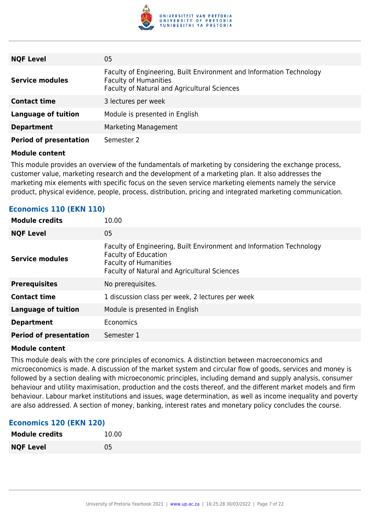

| <b>NQF Level</b>              | 05                                                                                                                                                   |
|-------------------------------|------------------------------------------------------------------------------------------------------------------------------------------------------|
| <b>Service modules</b>        | Faculty of Engineering, Built Environment and Information Technology<br><b>Faculty of Humanities</b><br>Faculty of Natural and Agricultural Sciences |
| <b>Contact time</b>           | 3 lectures per week                                                                                                                                  |
| <b>Language of tuition</b>    | Module is presented in English                                                                                                                       |
| <b>Department</b>             | Marketing Management                                                                                                                                 |
| <b>Period of presentation</b> | Semester 2                                                                                                                                           |

This module provides an overview of the fundamentals of marketing by considering the exchange process, customer value, marketing research and the development of a marketing plan. It also addresses the marketing mix elements with specific focus on the seven service marketing elements namely the service product, physical evidence, people, process, distribution, pricing and integrated marketing communication.

| <b>Module credits</b>         | 10.00                                                                                                                                                                               |
|-------------------------------|-------------------------------------------------------------------------------------------------------------------------------------------------------------------------------------|
| <b>NQF Level</b>              | 05                                                                                                                                                                                  |
| <b>Service modules</b>        | Faculty of Engineering, Built Environment and Information Technology<br><b>Faculty of Education</b><br><b>Faculty of Humanities</b><br>Faculty of Natural and Agricultural Sciences |
| <b>Prerequisites</b>          | No prerequisites.                                                                                                                                                                   |
| <b>Contact time</b>           | 1 discussion class per week, 2 lectures per week                                                                                                                                    |
| <b>Language of tuition</b>    | Module is presented in English                                                                                                                                                      |
| <b>Department</b>             | Economics                                                                                                                                                                           |
| <b>Period of presentation</b> | Semester 1                                                                                                                                                                          |

#### **Economics 110 (EKN 110)**

#### **Module content**

This module deals with the core principles of economics. A distinction between macroeconomics and microeconomics is made. A discussion of the market system and circular flow of goods, services and money is followed by a section dealing with microeconomic principles, including demand and supply analysis, consumer behaviour and utility maximisation, production and the costs thereof, and the different market models and firm behaviour. Labour market institutions and issues, wage determination, as well as income inequality and poverty are also addressed. A section of money, banking, interest rates and monetary policy concludes the course.

#### **Economics 120 (EKN 120)**

| <b>Module credits</b> | 10.00 |
|-----------------------|-------|
| <b>NQF Level</b>      | 05    |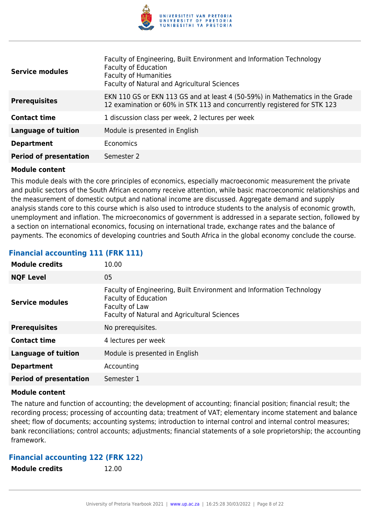

| <b>Service modules</b>        | Faculty of Engineering, Built Environment and Information Technology<br><b>Faculty of Education</b><br><b>Faculty of Humanities</b><br>Faculty of Natural and Agricultural Sciences |
|-------------------------------|-------------------------------------------------------------------------------------------------------------------------------------------------------------------------------------|
| <b>Prerequisites</b>          | EKN 110 GS or EKN 113 GS and at least 4 (50-59%) in Mathematics in the Grade<br>12 examination or 60% in STK 113 and concurrently registered for STK 123                            |
| <b>Contact time</b>           | 1 discussion class per week, 2 lectures per week                                                                                                                                    |
| <b>Language of tuition</b>    | Module is presented in English                                                                                                                                                      |
| <b>Department</b>             | Economics                                                                                                                                                                           |
| <b>Period of presentation</b> | Semester 2                                                                                                                                                                          |

This module deals with the core principles of economics, especially macroeconomic measurement the private and public sectors of the South African economy receive attention, while basic macroeconomic relationships and the measurement of domestic output and national income are discussed. Aggregate demand and supply analysis stands core to this course which is also used to introduce students to the analysis of economic growth, unemployment and inflation. The microeconomics of government is addressed in a separate section, followed by a section on international economics, focusing on international trade, exchange rates and the balance of payments. The economics of developing countries and South Africa in the global economy conclude the course.

#### **Financial accounting 111 (FRK 111)**

| <b>Module credits</b>         | 10.00                                                                                                                                                                 |
|-------------------------------|-----------------------------------------------------------------------------------------------------------------------------------------------------------------------|
| <b>NQF Level</b>              | 05                                                                                                                                                                    |
| <b>Service modules</b>        | Faculty of Engineering, Built Environment and Information Technology<br><b>Faculty of Education</b><br>Faculty of Law<br>Faculty of Natural and Agricultural Sciences |
| <b>Prerequisites</b>          | No prerequisites.                                                                                                                                                     |
| <b>Contact time</b>           | 4 lectures per week                                                                                                                                                   |
| <b>Language of tuition</b>    | Module is presented in English                                                                                                                                        |
| <b>Department</b>             | Accounting                                                                                                                                                            |
| <b>Period of presentation</b> | Semester 1                                                                                                                                                            |

#### **Module content**

The nature and function of accounting; the development of accounting; financial position; financial result; the recording process; processing of accounting data; treatment of VAT; elementary income statement and balance sheet; flow of documents; accounting systems; introduction to internal control and internal control measures; bank reconciliations; control accounts; adjustments; financial statements of a sole proprietorship; the accounting framework.

#### **Financial accounting 122 (FRK 122)**

**Module credits** 12.00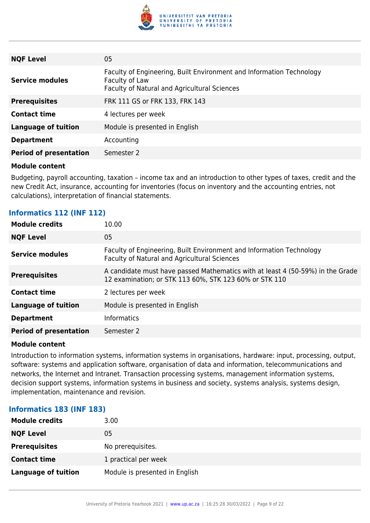

| <b>NQF Level</b>              | 05                                                                                                                                     |
|-------------------------------|----------------------------------------------------------------------------------------------------------------------------------------|
| <b>Service modules</b>        | Faculty of Engineering, Built Environment and Information Technology<br>Faculty of Law<br>Faculty of Natural and Agricultural Sciences |
| <b>Prerequisites</b>          | FRK 111 GS or FRK 133, FRK 143                                                                                                         |
| <b>Contact time</b>           | 4 lectures per week                                                                                                                    |
| <b>Language of tuition</b>    | Module is presented in English                                                                                                         |
| <b>Department</b>             | Accounting                                                                                                                             |
| <b>Period of presentation</b> | Semester 2                                                                                                                             |

Budgeting, payroll accounting, taxation – income tax and an introduction to other types of taxes, credit and the new Credit Act, insurance, accounting for inventories (focus on inventory and the accounting entries, not calculations), interpretation of financial statements.

#### **Informatics 112 (INF 112)**

| 10.00                                                                                                                                    |
|------------------------------------------------------------------------------------------------------------------------------------------|
| 05                                                                                                                                       |
| Faculty of Engineering, Built Environment and Information Technology<br>Faculty of Natural and Agricultural Sciences                     |
| A candidate must have passed Mathematics with at least 4 (50-59%) in the Grade<br>12 examination; or STK 113 60%, STK 123 60% or STK 110 |
| 2 lectures per week                                                                                                                      |
| Module is presented in English                                                                                                           |
| <b>Informatics</b>                                                                                                                       |
| Semester 2                                                                                                                               |
|                                                                                                                                          |

#### **Module content**

Introduction to information systems, information systems in organisations, hardware: input, processing, output, software: systems and application software, organisation of data and information, telecommunications and networks, the Internet and Intranet. Transaction processing systems, management information systems, decision support systems, information systems in business and society, systems analysis, systems design, implementation, maintenance and revision.

#### **Informatics 183 (INF 183)**

| <b>Module credits</b>      | 3.00                           |
|----------------------------|--------------------------------|
| <b>NQF Level</b>           | 05                             |
| <b>Prerequisites</b>       | No prerequisites.              |
| <b>Contact time</b>        | 1 practical per week           |
| <b>Language of tuition</b> | Module is presented in English |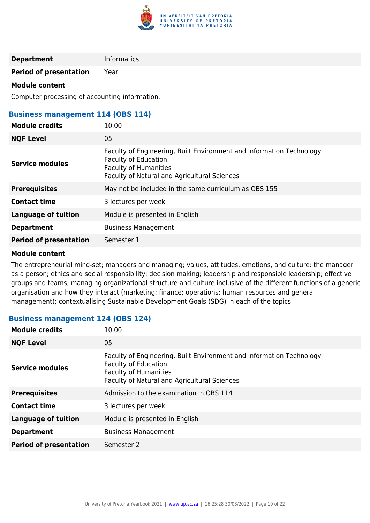

#### **Department** Informatics

**Period of presentation** Year

#### **Module content**

Computer processing of accounting information.

#### **Business management 114 (OBS 114)**

| <b>Module credits</b>         | 10.00                                                                                                                                                                               |
|-------------------------------|-------------------------------------------------------------------------------------------------------------------------------------------------------------------------------------|
| <b>NQF Level</b>              | 05                                                                                                                                                                                  |
| <b>Service modules</b>        | Faculty of Engineering, Built Environment and Information Technology<br><b>Faculty of Education</b><br><b>Faculty of Humanities</b><br>Faculty of Natural and Agricultural Sciences |
| <b>Prerequisites</b>          | May not be included in the same curriculum as OBS 155                                                                                                                               |
| <b>Contact time</b>           | 3 lectures per week                                                                                                                                                                 |
| <b>Language of tuition</b>    | Module is presented in English                                                                                                                                                      |
| <b>Department</b>             | <b>Business Management</b>                                                                                                                                                          |
| <b>Period of presentation</b> | Semester 1                                                                                                                                                                          |
|                               |                                                                                                                                                                                     |

#### **Module content**

The entrepreneurial mind-set; managers and managing; values, attitudes, emotions, and culture: the manager as a person; ethics and social responsibility; decision making; leadership and responsible leadership; effective groups and teams; managing organizational structure and culture inclusive of the different functions of a generic organisation and how they interact (marketing; finance; operations; human resources and general management); contextualising Sustainable Development Goals (SDG) in each of the topics.

#### **Business management 124 (OBS 124)**

| <b>Module credits</b>         | 10.00                                                                                                                                                                               |
|-------------------------------|-------------------------------------------------------------------------------------------------------------------------------------------------------------------------------------|
| <b>NQF Level</b>              | 05                                                                                                                                                                                  |
| <b>Service modules</b>        | Faculty of Engineering, Built Environment and Information Technology<br><b>Faculty of Education</b><br><b>Faculty of Humanities</b><br>Faculty of Natural and Agricultural Sciences |
| <b>Prerequisites</b>          | Admission to the examination in OBS 114                                                                                                                                             |
| <b>Contact time</b>           | 3 lectures per week                                                                                                                                                                 |
| <b>Language of tuition</b>    | Module is presented in English                                                                                                                                                      |
| <b>Department</b>             | <b>Business Management</b>                                                                                                                                                          |
| <b>Period of presentation</b> | Semester 2                                                                                                                                                                          |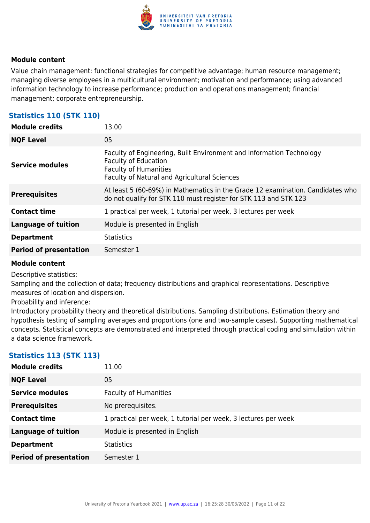

Value chain management: functional strategies for competitive advantage; human resource management; managing diverse employees in a multicultural environment; motivation and performance; using advanced information technology to increase performance; production and operations management; financial management; corporate entrepreneurship.

### **Statistics 110 (STK 110)**

| <b>Module credits</b>         | 13.00                                                                                                                                                                               |
|-------------------------------|-------------------------------------------------------------------------------------------------------------------------------------------------------------------------------------|
| <b>NQF Level</b>              | 05                                                                                                                                                                                  |
| <b>Service modules</b>        | Faculty of Engineering, Built Environment and Information Technology<br><b>Faculty of Education</b><br><b>Faculty of Humanities</b><br>Faculty of Natural and Agricultural Sciences |
| <b>Prerequisites</b>          | At least 5 (60-69%) in Mathematics in the Grade 12 examination. Candidates who<br>do not qualify for STK 110 must register for STK 113 and STK 123                                  |
| <b>Contact time</b>           | 1 practical per week, 1 tutorial per week, 3 lectures per week                                                                                                                      |
| <b>Language of tuition</b>    | Module is presented in English                                                                                                                                                      |
| <b>Department</b>             | <b>Statistics</b>                                                                                                                                                                   |
| <b>Period of presentation</b> | Semester 1                                                                                                                                                                          |

#### **Module content**

Descriptive statistics:

Sampling and the collection of data; frequency distributions and graphical representations. Descriptive measures of location and dispersion.

Probability and inference:

Introductory probability theory and theoretical distributions. Sampling distributions. Estimation theory and hypothesis testing of sampling averages and proportions (one and two-sample cases). Supporting mathematical concepts. Statistical concepts are demonstrated and interpreted through practical coding and simulation within a data science framework.

#### **Statistics 113 (STK 113)**

| <b>Module credits</b>         | 11.00                                                          |
|-------------------------------|----------------------------------------------------------------|
| <b>NQF Level</b>              | 05                                                             |
| <b>Service modules</b>        | <b>Faculty of Humanities</b>                                   |
| <b>Prerequisites</b>          | No prerequisites.                                              |
| <b>Contact time</b>           | 1 practical per week, 1 tutorial per week, 3 lectures per week |
| <b>Language of tuition</b>    | Module is presented in English                                 |
| <b>Department</b>             | <b>Statistics</b>                                              |
| <b>Period of presentation</b> | Semester 1                                                     |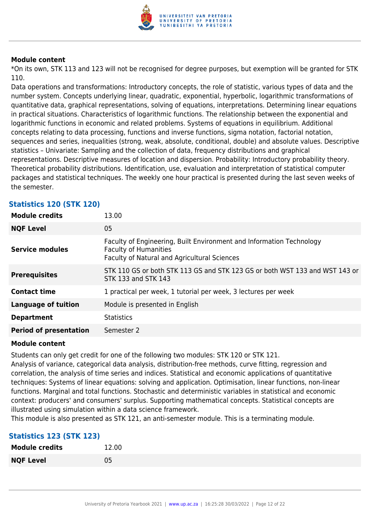

\*On its own, STK 113 and 123 will not be recognised for degree purposes, but exemption will be granted for STK 110.

Data operations and transformations: Introductory concepts, the role of statistic, various types of data and the number system. Concepts underlying linear, quadratic, exponential, hyperbolic, logarithmic transformations of quantitative data, graphical representations, solving of equations, interpretations. Determining linear equations in practical situations. Characteristics of logarithmic functions. The relationship between the exponential and logarithmic functions in economic and related problems. Systems of equations in equilibrium. Additional concepts relating to data processing, functions and inverse functions, sigma notation, factorial notation, sequences and series, inequalities (strong, weak, absolute, conditional, double) and absolute values. Descriptive statistics – Univariate: Sampling and the collection of data, frequency distributions and graphical representations. Descriptive measures of location and dispersion. Probability: Introductory probability theory. Theoretical probability distributions. Identification, use, evaluation and interpretation of statistical computer packages and statistical techniques. The weekly one hour practical is presented during the last seven weeks of the semester.

| <b>Module credits</b>         | 13.00                                                                                                                                                |
|-------------------------------|------------------------------------------------------------------------------------------------------------------------------------------------------|
| <b>NQF Level</b>              | 05                                                                                                                                                   |
| <b>Service modules</b>        | Faculty of Engineering, Built Environment and Information Technology<br><b>Faculty of Humanities</b><br>Faculty of Natural and Agricultural Sciences |
| <b>Prerequisites</b>          | STK 110 GS or both STK 113 GS and STK 123 GS or both WST 133 and WST 143 or<br>STK 133 and STK 143                                                   |
| <b>Contact time</b>           | 1 practical per week, 1 tutorial per week, 3 lectures per week                                                                                       |
| <b>Language of tuition</b>    | Module is presented in English                                                                                                                       |
| <b>Department</b>             | <b>Statistics</b>                                                                                                                                    |
| <b>Period of presentation</b> | Semester 2                                                                                                                                           |

#### **Statistics 120 (STK 120)**

#### **Module content**

Students can only get credit for one of the following two modules: STK 120 or STK 121.

Analysis of variance, categorical data analysis, distribution-free methods, curve fitting, regression and correlation, the analysis of time series and indices. Statistical and economic applications of quantitative techniques: Systems of linear equations: solving and application. Optimisation, linear functions, non-linear functions. Marginal and total functions. Stochastic and deterministic variables in statistical and economic context: producers' and consumers' surplus. Supporting mathematical concepts. Statistical concepts are illustrated using simulation within a data science framework.

This module is also presented as STK 121, an anti-semester module. This is a terminating module.

#### **Statistics 123 (STK 123)**

| <b>Module credits</b> | 12.00 |
|-----------------------|-------|
| <b>NQF Level</b>      | 05    |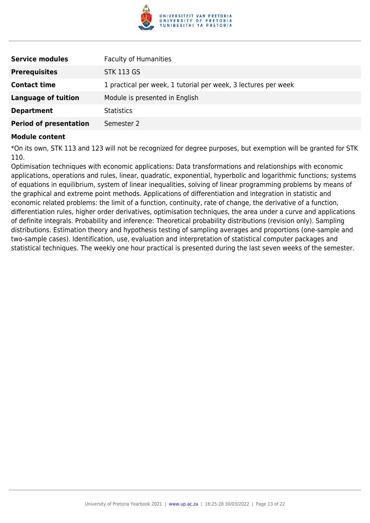

| <b>Service modules</b>        | <b>Faculty of Humanities</b>                                   |
|-------------------------------|----------------------------------------------------------------|
| <b>Prerequisites</b>          | <b>STK 113 GS</b>                                              |
| <b>Contact time</b>           | 1 practical per week, 1 tutorial per week, 3 lectures per week |
| Language of tuition           | Module is presented in English                                 |
| <b>Department</b>             | <b>Statistics</b>                                              |
| <b>Period of presentation</b> | Semester 2                                                     |

\*On its own, STK 113 and 123 will not be recognized for degree purposes, but exemption will be granted for STK 110.

Optimisation techniques with economic applications: Data transformations and relationships with economic applications, operations and rules, linear, quadratic, exponential, hyperbolic and logarithmic functions; systems of equations in equilibrium, system of linear inequalities, solving of linear programming problems by means of the graphical and extreme point methods. Applications of differentiation and integration in statistic and economic related problems: the limit of a function, continuity, rate of change, the derivative of a function, differentiation rules, higher order derivatives, optimisation techniques, the area under a curve and applications of definite integrals. Probability and inference: Theoretical probability distributions (revision only). Sampling distributions. Estimation theory and hypothesis testing of sampling averages and proportions (one-sample and two-sample cases). Identification, use, evaluation and interpretation of statistical computer packages and statistical techniques. The weekly one hour practical is presented during the last seven weeks of the semester.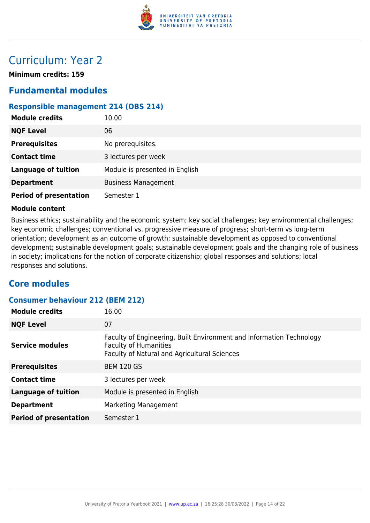

# Curriculum: Year 2

**Minimum credits: 159**

# **Fundamental modules**

### **Responsible management 214 (OBS 214)**

| <b>Module credits</b>         | 10.00                          |
|-------------------------------|--------------------------------|
| <b>NQF Level</b>              | 06                             |
| <b>Prerequisites</b>          | No prerequisites.              |
| <b>Contact time</b>           | 3 lectures per week            |
| <b>Language of tuition</b>    | Module is presented in English |
| <b>Department</b>             | <b>Business Management</b>     |
| <b>Period of presentation</b> | Semester 1                     |

#### **Module content**

Business ethics; sustainability and the economic system; key social challenges; key environmental challenges; key economic challenges; conventional vs. progressive measure of progress; short-term vs long-term orientation; development as an outcome of growth; sustainable development as opposed to conventional development; sustainable development goals; sustainable development goals and the changing role of business in society; implications for the notion of corporate citizenship; global responses and solutions; local responses and solutions.

### **Core modules**

## **Consumer behaviour 212 (BEM 212) Module credits** 16.00 **NOF Level** 07 **Service modules** Faculty of Engineering, Built Environment and Information Technology Faculty of Humanities Faculty of Natural and Agricultural Sciences **Prerequisites** BEM 120 GS

| <b>Contact time</b>           | 3 lectures per week            |
|-------------------------------|--------------------------------|
| Language of tuition           | Module is presented in English |
| <b>Department</b>             | Marketing Management           |
| <b>Period of presentation</b> | Semester 1                     |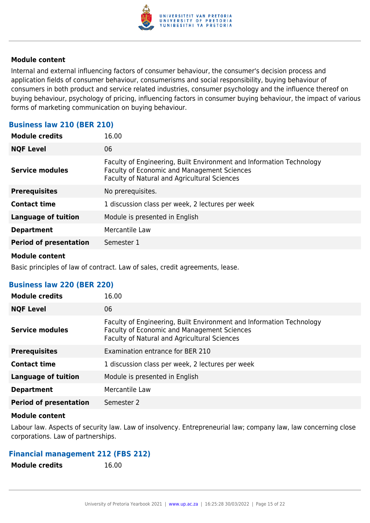

Internal and external influencing factors of consumer behaviour, the consumer's decision process and application fields of consumer behaviour, consumerisms and social responsibility, buying behaviour of consumers in both product and service related industries, consumer psychology and the influence thereof on buying behaviour, psychology of pricing, influencing factors in consumer buying behaviour, the impact of various forms of marketing communication on buying behaviour.

#### **Business law 210 (BER 210)**

| <b>Module credits</b>         | 16.00                                                                                                                                                                      |
|-------------------------------|----------------------------------------------------------------------------------------------------------------------------------------------------------------------------|
| <b>NOF Level</b>              | 06                                                                                                                                                                         |
| <b>Service modules</b>        | Faculty of Engineering, Built Environment and Information Technology<br><b>Faculty of Economic and Management Sciences</b><br>Faculty of Natural and Agricultural Sciences |
| <b>Prerequisites</b>          | No prerequisites.                                                                                                                                                          |
| <b>Contact time</b>           | 1 discussion class per week, 2 lectures per week                                                                                                                           |
| <b>Language of tuition</b>    | Module is presented in English                                                                                                                                             |
| <b>Department</b>             | Mercantile Law                                                                                                                                                             |
| <b>Period of presentation</b> | Semester 1                                                                                                                                                                 |

#### **Module content**

Basic principles of law of contract. Law of sales, credit agreements, lease.

#### **Business law 220 (BER 220)**

| <b>Module credits</b>         | 16.00                                                                                                                                                               |
|-------------------------------|---------------------------------------------------------------------------------------------------------------------------------------------------------------------|
| <b>NQF Level</b>              | 06                                                                                                                                                                  |
| <b>Service modules</b>        | Faculty of Engineering, Built Environment and Information Technology<br>Faculty of Economic and Management Sciences<br>Faculty of Natural and Agricultural Sciences |
| <b>Prerequisites</b>          | Examination entrance for BER 210                                                                                                                                    |
| <b>Contact time</b>           | 1 discussion class per week, 2 lectures per week                                                                                                                    |
| <b>Language of tuition</b>    | Module is presented in English                                                                                                                                      |
| <b>Department</b>             | Mercantile Law                                                                                                                                                      |
| <b>Period of presentation</b> | Semester 2                                                                                                                                                          |

#### **Module content**

Labour law. Aspects of security law. Law of insolvency. Entrepreneurial law; company law, law concerning close corporations. Law of partnerships.

#### **Financial management 212 (FBS 212)**

| <b>Module credits</b> | 16.00 |
|-----------------------|-------|
|                       |       |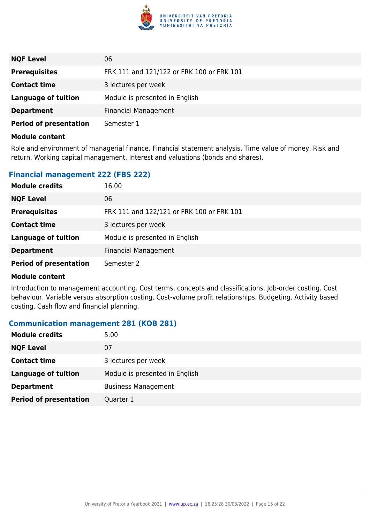

| <b>NQF Level</b>              | 06                                        |
|-------------------------------|-------------------------------------------|
| <b>Prerequisites</b>          | FRK 111 and 121/122 or FRK 100 or FRK 101 |
| <b>Contact time</b>           | 3 lectures per week                       |
| Language of tuition           | Module is presented in English            |
| <b>Department</b>             | <b>Financial Management</b>               |
| <b>Period of presentation</b> | Semester 1                                |

Role and environment of managerial finance. Financial statement analysis. Time value of money. Risk and return. Working capital management. Interest and valuations (bonds and shares).

#### **Financial management 222 (FBS 222)**

| <b>Module credits</b>         | 16.00                                     |
|-------------------------------|-------------------------------------------|
| <b>NQF Level</b>              | 06                                        |
| <b>Prerequisites</b>          | FRK 111 and 122/121 or FRK 100 or FRK 101 |
| <b>Contact time</b>           | 3 lectures per week                       |
| <b>Language of tuition</b>    | Module is presented in English            |
| <b>Department</b>             | <b>Financial Management</b>               |
| <b>Period of presentation</b> | Semester 2                                |

#### **Module content**

Introduction to management accounting. Cost terms, concepts and classifications. Job-order costing. Cost behaviour. Variable versus absorption costing. Cost-volume profit relationships. Budgeting. Activity based costing. Cash flow and financial planning.

#### **Communication management 281 (KOB 281)**

| <b>Module credits</b>         | 5.00                           |
|-------------------------------|--------------------------------|
| <b>NQF Level</b>              | 07                             |
| <b>Contact time</b>           | 3 lectures per week            |
| <b>Language of tuition</b>    | Module is presented in English |
| <b>Department</b>             | <b>Business Management</b>     |
| <b>Period of presentation</b> | Quarter 1                      |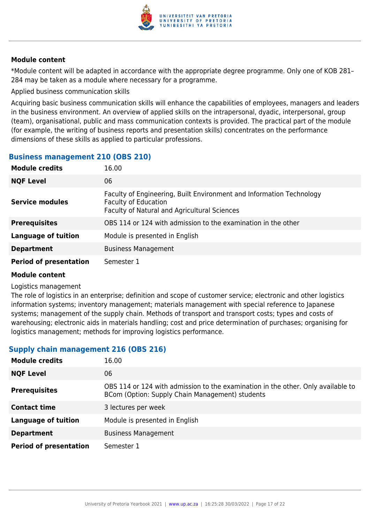

\*Module content will be adapted in accordance with the appropriate degree programme. Only one of KOB 281– 284 may be taken as a module where necessary for a programme.

Applied business communication skills

Acquiring basic business communication skills will enhance the capabilities of employees, managers and leaders in the business environment. An overview of applied skills on the intrapersonal, dyadic, interpersonal, group (team), organisational, public and mass communication contexts is provided. The practical part of the module (for example, the writing of business reports and presentation skills) concentrates on the performance dimensions of these skills as applied to particular professions.

### **Business management 210 (OBS 210)**

| <b>Module credits</b>         | 16.00                                                                                                                                               |
|-------------------------------|-----------------------------------------------------------------------------------------------------------------------------------------------------|
| <b>NQF Level</b>              | 06                                                                                                                                                  |
| <b>Service modules</b>        | Faculty of Engineering, Built Environment and Information Technology<br><b>Faculty of Education</b><br>Faculty of Natural and Agricultural Sciences |
| <b>Prerequisites</b>          | OBS 114 or 124 with admission to the examination in the other                                                                                       |
| <b>Language of tuition</b>    | Module is presented in English                                                                                                                      |
| <b>Department</b>             | <b>Business Management</b>                                                                                                                          |
| <b>Period of presentation</b> | Semester 1                                                                                                                                          |

#### **Module content**

#### Logistics management

The role of logistics in an enterprise; definition and scope of customer service; electronic and other logistics information systems; inventory management; materials management with special reference to Japanese systems; management of the supply chain. Methods of transport and transport costs; types and costs of warehousing; electronic aids in materials handling; cost and price determination of purchases; organising for logistics management; methods for improving logistics performance.

#### **Supply chain management 216 (OBS 216)**

| <b>Module credits</b>         | 16.00                                                                                                                               |
|-------------------------------|-------------------------------------------------------------------------------------------------------------------------------------|
| <b>NQF Level</b>              | 06                                                                                                                                  |
| <b>Prerequisites</b>          | OBS 114 or 124 with admission to the examination in the other. Only available to<br>BCom (Option: Supply Chain Management) students |
| <b>Contact time</b>           | 3 lectures per week                                                                                                                 |
| <b>Language of tuition</b>    | Module is presented in English                                                                                                      |
| <b>Department</b>             | <b>Business Management</b>                                                                                                          |
| <b>Period of presentation</b> | Semester 1                                                                                                                          |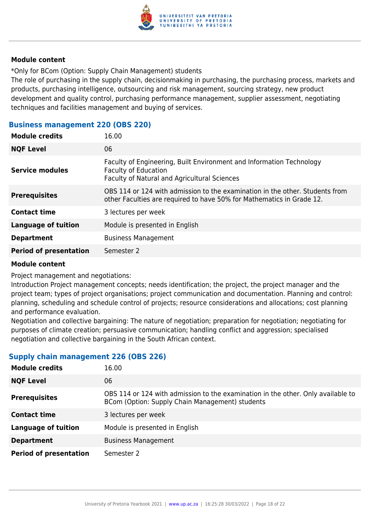

\*Only for BCom (Option: Supply Chain Management) students

The role of purchasing in the supply chain, decisionmaking in purchasing, the purchasing process, markets and products, purchasing intelligence, outsourcing and risk management, sourcing strategy, new product development and quality control, purchasing performance management, supplier assessment, negotiating techniques and facilities management and buying of services.

#### **Business management 220 (OBS 220)**

| <b>Module credits</b>         | 16.00                                                                                                                                                 |
|-------------------------------|-------------------------------------------------------------------------------------------------------------------------------------------------------|
| <b>NQF Level</b>              | 06                                                                                                                                                    |
| <b>Service modules</b>        | Faculty of Engineering, Built Environment and Information Technology<br><b>Faculty of Education</b><br>Faculty of Natural and Agricultural Sciences   |
| <b>Prerequisites</b>          | OBS 114 or 124 with admission to the examination in the other. Students from<br>other Faculties are required to have 50% for Mathematics in Grade 12. |
| <b>Contact time</b>           | 3 lectures per week                                                                                                                                   |
| <b>Language of tuition</b>    | Module is presented in English                                                                                                                        |
| <b>Department</b>             | <b>Business Management</b>                                                                                                                            |
| <b>Period of presentation</b> | Semester 2                                                                                                                                            |
|                               |                                                                                                                                                       |

#### **Module content**

Project management and negotiations:

Introduction Project management concepts; needs identification; the project, the project manager and the project team; types of project organisations; project communication and documentation. Planning and control: planning, scheduling and schedule control of projects; resource considerations and allocations; cost planning and performance evaluation.

Negotiation and collective bargaining: The nature of negotiation; preparation for negotiation; negotiating for purposes of climate creation; persuasive communication; handling conflict and aggression; specialised negotiation and collective bargaining in the South African context.

#### **Supply chain management 226 (OBS 226)**

| <b>Module credits</b>         | 16.00                                                                                                                               |
|-------------------------------|-------------------------------------------------------------------------------------------------------------------------------------|
| <b>NQF Level</b>              | 06                                                                                                                                  |
| <b>Prerequisites</b>          | OBS 114 or 124 with admission to the examination in the other. Only available to<br>BCom (Option: Supply Chain Management) students |
| <b>Contact time</b>           | 3 lectures per week                                                                                                                 |
| <b>Language of tuition</b>    | Module is presented in English                                                                                                      |
| <b>Department</b>             | <b>Business Management</b>                                                                                                          |
| <b>Period of presentation</b> | Semester 2                                                                                                                          |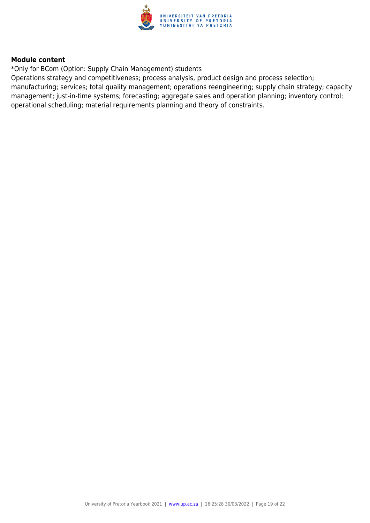

\*Only for BCom (Option: Supply Chain Management) students

Operations strategy and competitiveness; process analysis, product design and process selection; manufacturing; services; total quality management; operations reengineering; supply chain strategy; capacity management; just-in-time systems; forecasting; aggregate sales and operation planning; inventory control; operational scheduling; material requirements planning and theory of constraints.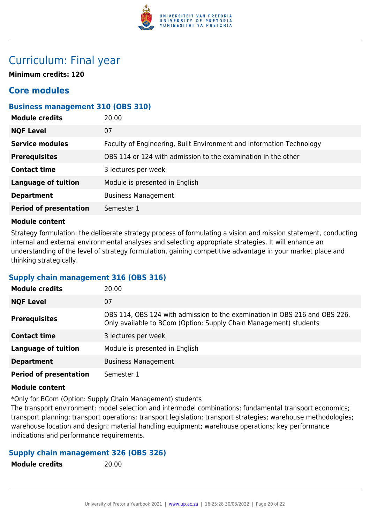

# Curriculum: Final year

**Minimum credits: 120**

# **Core modules**

#### **Business management 310 (OBS 310)**

| <b>Module credits</b>         | 20.00                                                                |
|-------------------------------|----------------------------------------------------------------------|
| <b>NQF Level</b>              | 07                                                                   |
| <b>Service modules</b>        | Faculty of Engineering, Built Environment and Information Technology |
| <b>Prerequisites</b>          | OBS 114 or 124 with admission to the examination in the other        |
| <b>Contact time</b>           | 3 lectures per week                                                  |
| <b>Language of tuition</b>    | Module is presented in English                                       |
| <b>Department</b>             | <b>Business Management</b>                                           |
| <b>Period of presentation</b> | Semester 1                                                           |
|                               |                                                                      |

#### **Module content**

Strategy formulation: the deliberate strategy process of formulating a vision and mission statement, conducting internal and external environmental analyses and selecting appropriate strategies. It will enhance an understanding of the level of strategy formulation, gaining competitive advantage in your market place and thinking strategically.

#### **Supply chain management 316 (OBS 316)**

| <b>Module credits</b>         | 20.00                                                                                                                                           |
|-------------------------------|-------------------------------------------------------------------------------------------------------------------------------------------------|
| <b>NQF Level</b>              | 07                                                                                                                                              |
| <b>Prerequisites</b>          | OBS 114, OBS 124 with admission to the examination in OBS 216 and OBS 226.<br>Only available to BCom (Option: Supply Chain Management) students |
| <b>Contact time</b>           | 3 lectures per week                                                                                                                             |
| <b>Language of tuition</b>    | Module is presented in English                                                                                                                  |
| <b>Department</b>             | <b>Business Management</b>                                                                                                                      |
| <b>Period of presentation</b> | Semester 1                                                                                                                                      |

#### **Module content**

\*Only for BCom (Option: Supply Chain Management) students

The transport environment; model selection and intermodel combinations; fundamental transport economics; transport planning; transport operations; transport legislation; transport strategies; warehouse methodologies; warehouse location and design; material handling equipment; warehouse operations; key performance indications and performance requirements.

#### **Supply chain management 326 (OBS 326)**

**Module credits** 20.00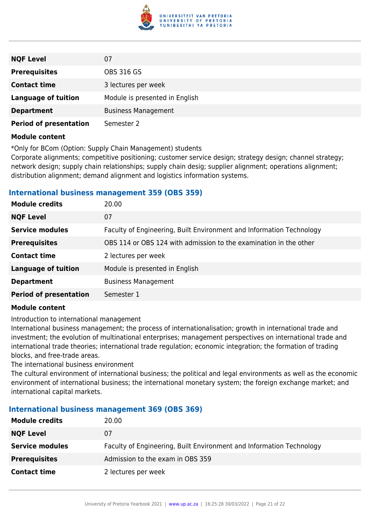

| <b>NQF Level</b>              | 07                             |
|-------------------------------|--------------------------------|
| <b>Prerequisites</b>          | <b>OBS 316 GS</b>              |
| <b>Contact time</b>           | 3 lectures per week            |
| <b>Language of tuition</b>    | Module is presented in English |
| <b>Department</b>             | <b>Business Management</b>     |
| <b>Period of presentation</b> | Semester 2                     |

\*Only for BCom (Option: Supply Chain Management) students

Corporate alignments; competitive positioning; customer service design; strategy design; channel strategy; network design; supply chain relationships; supply chain desig; supplier alignment; operations alignment; distribution alignment; demand alignment and logistics information systems.

#### **International business management 359 (OBS 359)**

| 20.00                                                                |
|----------------------------------------------------------------------|
| 07                                                                   |
| Faculty of Engineering, Built Environment and Information Technology |
| OBS 114 or OBS 124 with admission to the examination in the other    |
| 2 lectures per week                                                  |
| Module is presented in English                                       |
| <b>Business Management</b>                                           |
| Semester 1                                                           |
|                                                                      |

#### **Module content**

Introduction to international management

International business management; the process of internationalisation; growth in international trade and investment; the evolution of multinational enterprises; management perspectives on international trade and international trade theories; international trade regulation; economic integration; the formation of trading blocks, and free-trade areas.

The international business environment

The cultural environment of international business; the political and legal environments as well as the economic environment of international business; the international monetary system; the foreign exchange market; and international capital markets.

#### **International business management 369 (OBS 369)**

| <b>Module credits</b>  | 20.00                                                                |
|------------------------|----------------------------------------------------------------------|
| <b>NQF Level</b>       | 07                                                                   |
| <b>Service modules</b> | Faculty of Engineering, Built Environment and Information Technology |
| <b>Prerequisites</b>   | Admission to the exam in OBS 359                                     |
| <b>Contact time</b>    | 2 lectures per week                                                  |